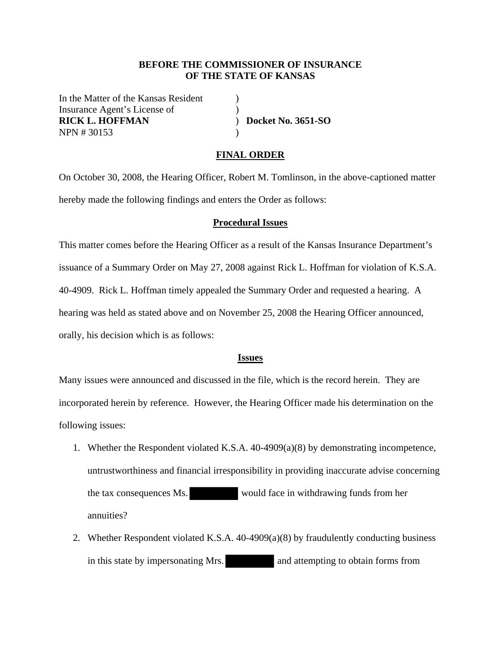#### **BEFORE THE COMMISSIONER OF INSURANCE OF THE STATE OF KANSAS**

In the Matter of the Kansas Resident ) Insurance Agent's License of (1) **RICK L. HOFFMAN** ) **Docket No. 3651-SO**  NPN # 30153 )

### **FINAL ORDER**

On October 30, 2008, the Hearing Officer, Robert M. Tomlinson, in the above-captioned matter hereby made the following findings and enters the Order as follows:

#### **Procedural Issues**

This matter comes before the Hearing Officer as a result of the Kansas Insurance Department's issuance of a Summary Order on May 27, 2008 against Rick L. Hoffman for violation of K.S.A. 40-4909. Rick L. Hoffman timely appealed the Summary Order and requested a hearing. A hearing was held as stated above and on November 25, 2008 the Hearing Officer announced, orally, his decision which is as follows:

#### **Issues**

Many issues were announced and discussed in the file, which is the record herein. They are incorporated herein by reference. However, the Hearing Officer made his determination on the following issues:

- 1. Whether the Respondent violated K.S.A. 40-4909(a)(8) by demonstrating incompetence, untrustworthiness and financial irresponsibility in providing inaccurate advise concerning the tax consequences Ms. would face in withdrawing funds from her annuities?
- 2. Whether Respondent violated K.S.A. 40-4909(a)(8) by fraudulently conducting business in this state by impersonating Mrs. and attempting to obtain forms from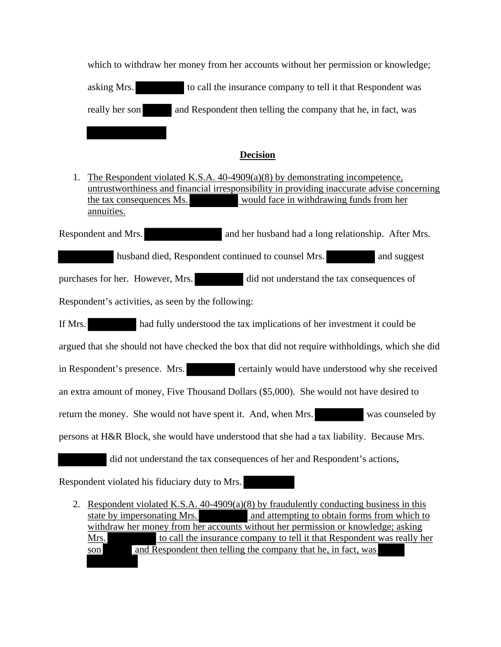which to withdraw her money from her accounts without her permission or knowledge; asking Mrs. to call the insurance company to tell it that Respondent was really her son and Respondent then telling the company that he, in fact, was

### **Decision**

1. The Respondent violated K.S.A. 40-4909(a)(8) by demonstrating incompetence, untrustworthiness and financial irresponsibility in providing inaccurate advise concerning the tax consequences Ms. would face in withdrawing funds from her annuities.

Respondent and Mrs. and her husband had a long relationship. After Mrs. husband died, Respondent continued to counsel Mrs. and suggest

purchases for her. However, Mrs. did not understand the tax consequences of Respondent's activities, as seen by the following:

If Mrs. had fully understood the tax implications of her investment it could be argued that she should not have checked the box that did not require withholdings, which she did in Respondent's presence. Mrs. certainly would have understood why she received an extra amount of money, Five Thousand Dollars (\$5,000). She would not have desired to return the money. She would not have spent it. And, when Mrs. was counseled by persons at H&R Block, she would have understood that she had a tax liability. Because Mrs. did not understand the tax consequences of her and Respondent's actions,

Respondent violated his fiduciary duty to Mrs.

2. Respondent violated K.S.A. 40-4909(a)(8) by fraudulently conducting business in this state by impersonating Mrs. and attempting to obtain forms from which to withdraw her money from her accounts without her permission or knowledge; asking Mrs. to call the insurance company to tell it that Respondent was really her son and Respondent then telling the company that he, in fact, was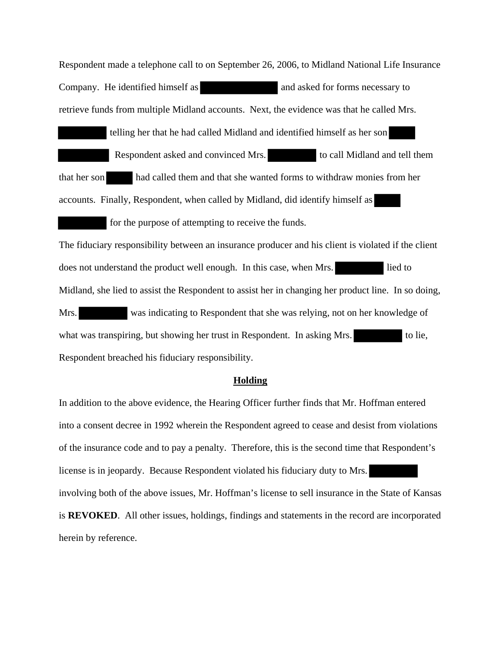Respondent made a telephone call to on September 26, 2006, to Midland National Life Insurance Company. He identified himself as and asked for forms necessary to retrieve funds from multiple Midland accounts. Next, the evidence was that he called Mrs.

 telling her that he had called Midland and identified himself as her son Respondent asked and convinced Mrs. to call Midland and tell them that her son had called them and that she wanted forms to withdraw monies from her accounts. Finally, Respondent, when called by Midland, did identify himself as

for the purpose of attempting to receive the funds.

The fiduciary responsibility between an insurance producer and his client is violated if the client does not understand the product well enough. In this case, when Mrs. lied to Midland, she lied to assist the Respondent to assist her in changing her product line. In so doing, Mrs. was indicating to Respondent that she was relying, not on her knowledge of what was transpiring, but showing her trust in Respondent. In asking Mrs. to lie, Respondent breached his fiduciary responsibility.

#### **Holding**

In addition to the above evidence, the Hearing Officer further finds that Mr. Hoffman entered into a consent decree in 1992 wherein the Respondent agreed to cease and desist from violations of the insurance code and to pay a penalty. Therefore, this is the second time that Respondent's license is in jeopardy. Because Respondent violated his fiduciary duty to Mrs. involving both of the above issues, Mr. Hoffman's license to sell insurance in the State of Kansas is **REVOKED**. All other issues, holdings, findings and statements in the record are incorporated herein by reference.